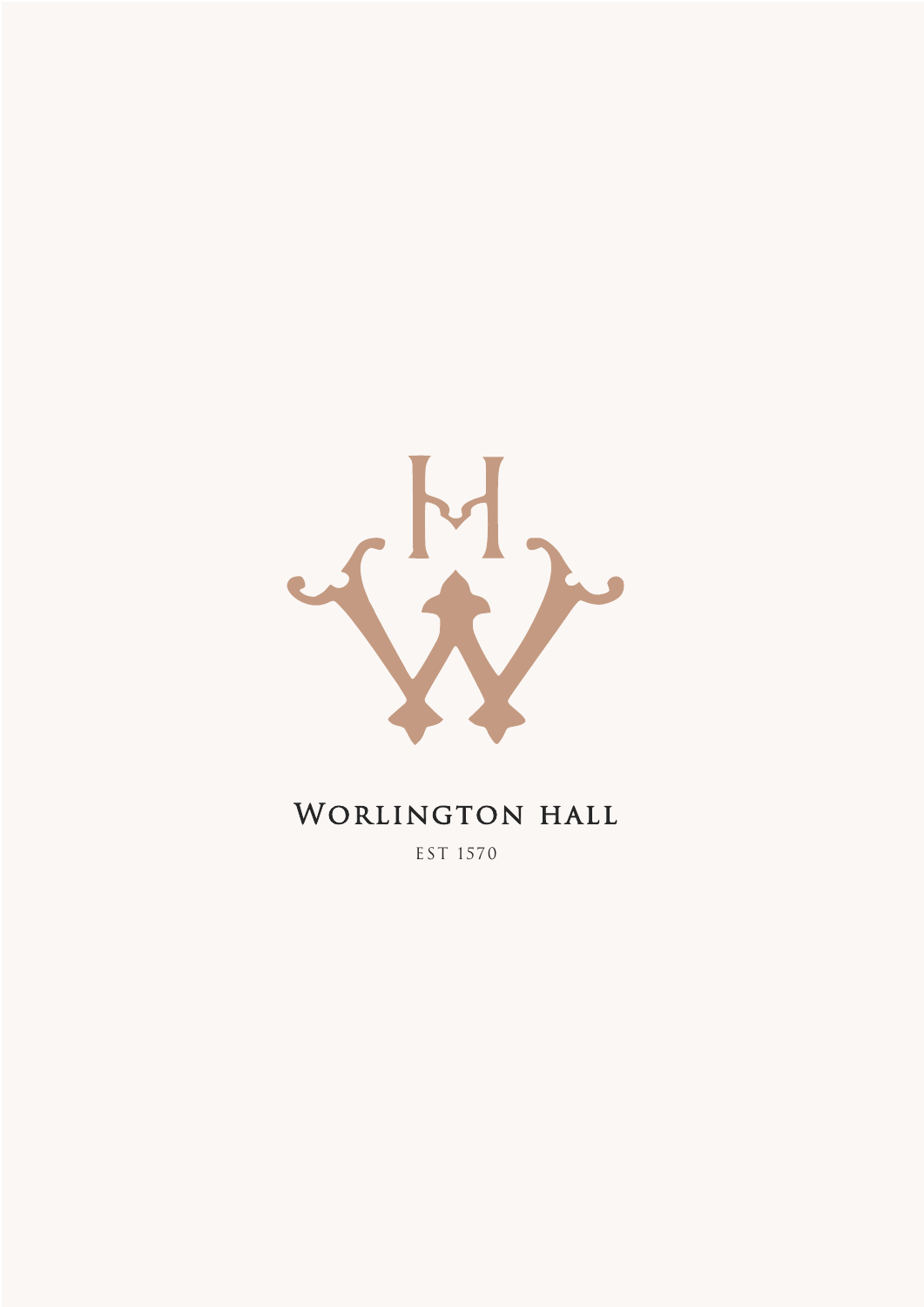

# WORLINGTON HALL

EST 1570